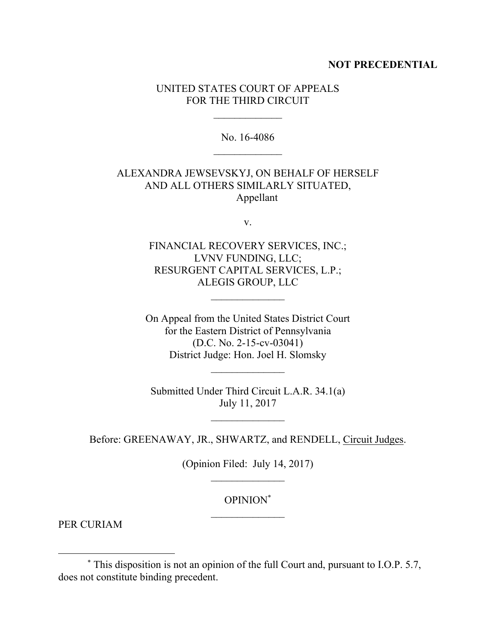## **NOT PRECEDENTIAL**

## UNITED STATES COURT OF APPEALS FOR THE THIRD CIRCUIT

No. 16-4086

## ALEXANDRA JEWSEVSKYJ, ON BEHALF OF HERSELF AND ALL OTHERS SIMILARLY SITUATED, Appellant

v.

FINANCIAL RECOVERY SERVICES, INC.; LVNV FUNDING, LLC; RESURGENT CAPITAL SERVICES, L.P.; ALEGIS GROUP, LLC

On Appeal from the United States District Court for the Eastern District of Pennsylvania (D.C. No. 2-15-cv-03041) District Judge: Hon. Joel H. Slomsky

Submitted Under Third Circuit L.A.R. 34.1(a) July 11, 2017

 $\mathcal{L}_\text{max}$  and  $\mathcal{L}_\text{max}$ 

Before: GREENAWAY, JR., SHWARTZ, and RENDELL, Circuit Judges.

(Opinion Filed: July 14, 2017)

OPINION\*  $\mathcal{L}_\text{max}$  and  $\mathcal{L}_\text{max}$ 

PER CURIAM

 $\overline{a}$ 

<sup>\*</sup> This disposition is not an opinion of the full Court and, pursuant to I.O.P. 5.7, does not constitute binding precedent.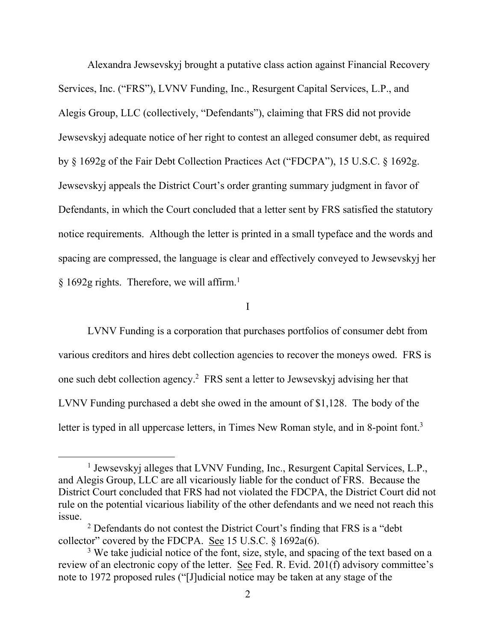Alexandra Jewsevskyj brought a putative class action against Financial Recovery Services, Inc. ("FRS"), LVNV Funding, Inc., Resurgent Capital Services, L.P., and Alegis Group, LLC (collectively, "Defendants"), claiming that FRS did not provide Jewsevskyj adequate notice of her right to contest an alleged consumer debt, as required by § 1692g of the Fair Debt Collection Practices Act ("FDCPA"), 15 U.S.C. § 1692g. Jewsevskyj appeals the District Court's order granting summary judgment in favor of Defendants, in which the Court concluded that a letter sent by FRS satisfied the statutory notice requirements. Although the letter is printed in a small typeface and the words and spacing are compressed, the language is clear and effectively conveyed to Jewsevskyj her § 1692g rights. Therefore, we will affirm.<sup>1</sup>

I

LVNV Funding is a corporation that purchases portfolios of consumer debt from various creditors and hires debt collection agencies to recover the moneys owed.FRS is one such debt collection agency.<sup>2</sup> FRS sent a letter to Jewsevskyj advising her that LVNV Funding purchased a debt she owed in the amount of \$1,128. The body of the letter is typed in all uppercase letters, in Times New Roman style, and in 8-point font.<sup>3</sup>

<sup>&</sup>lt;sup>1</sup> Jewsevskyj alleges that LVNV Funding, Inc., Resurgent Capital Services, L.P., and Alegis Group, LLC are all vicariously liable for the conduct of FRS. Because the District Court concluded that FRS had not violated the FDCPA, the District Court did not rule on the potential vicarious liability of the other defendants and we need not reach this issue.

<sup>2</sup> Defendants do not contest the District Court's finding that FRS is a "debt collector" covered by the FDCPA. See 15 U.S.C.  $\S$  1692a(6).

<sup>&</sup>lt;sup>3</sup> We take judicial notice of the font, size, style, and spacing of the text based on a review of an electronic copy of the letter. See Fed. R. Evid. 201(f) advisory committee's note to 1972 proposed rules ("[J]udicial notice may be taken at any stage of the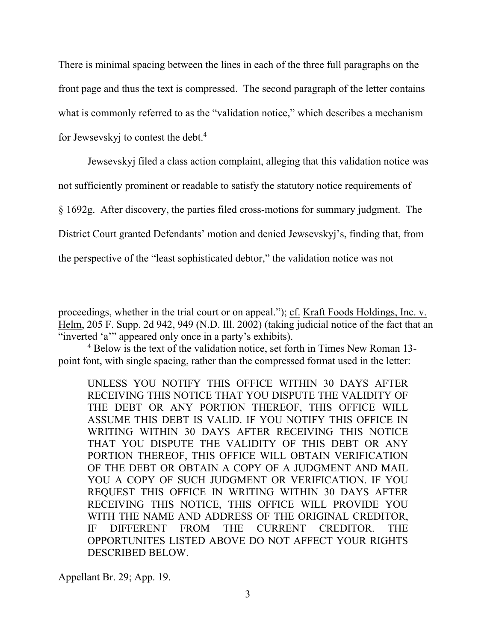There is minimal spacing between the lines in each of the three full paragraphs on the front page and thus the text is compressed. The second paragraph of the letter contains what is commonly referred to as the "validation notice," which describes a mechanism for Jewsevskyj to contest the debt.<sup>4</sup>

Jewsevskyj filed a class action complaint, alleging that this validation notice was not sufficiently prominent or readable to satisfy the statutory notice requirements of § 1692g. After discovery, the parties filed cross-motions for summary judgment.The District Court granted Defendants' motion and denied Jewsevskyj's, finding that, from the perspective of the "least sophisticated debtor," the validation notice was not

proceedings, whether in the trial court or on appeal."); cf. Kraft Foods Holdings, Inc. v. Helm, 205 F. Supp. 2d 942, 949 (N.D. Ill. 2002) (taking judicial notice of the fact that an "inverted 'a'" appeared only once in a party's exhibits).

<sup>4</sup> Below is the text of the validation notice, set forth in Times New Roman 13 point font, with single spacing, rather than the compressed format used in the letter:

UNLESS YOU NOTIFY THIS OFFICE WITHIN 30 DAYS AFTER RECEIVING THIS NOTICE THAT YOU DISPUTE THE VALIDITY OF THE DEBT OR ANY PORTION THEREOF, THIS OFFICE WILL ASSUME THIS DEBT IS VALID. IF YOU NOTIFY THIS OFFICE IN WRITING WITHIN 30 DAYS AFTER RECEIVING THIS NOTICE THAT YOU DISPUTE THE VALIDITY OF THIS DEBT OR ANY PORTION THEREOF, THIS OFFICE WILL OBTAIN VERIFICATION OF THE DEBT OR OBTAIN A COPY OF A JUDGMENT AND MAIL YOU A COPY OF SUCH JUDGMENT OR VERIFICATION. IF YOU REQUEST THIS OFFICE IN WRITING WITHIN 30 DAYS AFTER RECEIVING THIS NOTICE, THIS OFFICE WILL PROVIDE YOU WITH THE NAME AND ADDRESS OF THE ORIGINAL CREDITOR, IF DIFFERENT FROM THE CURRENT CREDITOR. THE OPPORTUNITES LISTED ABOVE DO NOT AFFECT YOUR RIGHTS DESCRIBED BELOW.

Appellant Br. 29; App. 19.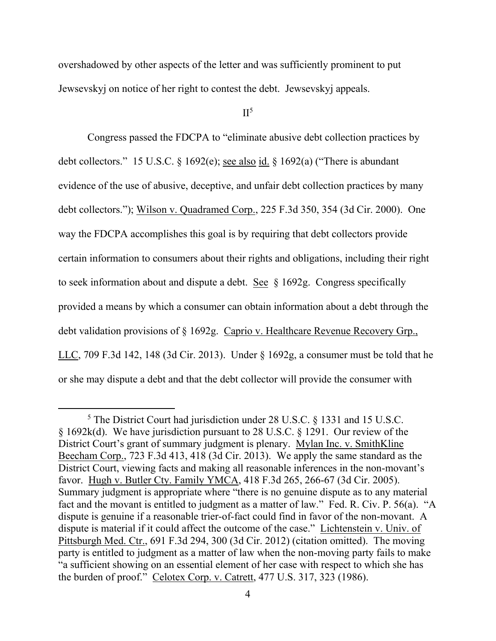overshadowed by other aspects of the letter and was sufficiently prominent to put Jewsevskyj on notice of her right to contest the debt. Jewsevskyj appeals.

 $II<sup>5</sup>$ 

Congress passed the FDCPA to "eliminate abusive debt collection practices by debt collectors." 15 U.S.C. § 1692(e); see also id. § 1692(a) ("There is abundant evidence of the use of abusive, deceptive, and unfair debt collection practices by many debt collectors."); Wilson v. Quadramed Corp., 225 F.3d 350, 354 (3d Cir. 2000). One way the FDCPA accomplishes this goal is by requiring that debt collectors provide certain information to consumers about their rights and obligations, including their right to seek information about and dispute a debt. See  $\S$  1692g. Congress specifically provided a means by which a consumer can obtain information about a debt through the debt validation provisions of § 1692g. Caprio v. Healthcare Revenue Recovery Grp., LLC, 709 F.3d 142, 148 (3d Cir. 2013). Under § 1692g, a consumer must be told that he or she may dispute a debt and that the debt collector will provide the consumer with

 $\overline{a}$ 

<sup>5</sup> The District Court had jurisdiction under 28 U.S.C. § 1331 and 15 U.S.C. § 1692k(d). We have jurisdiction pursuant to 28 U.S.C. § 1291. Our review of the District Court's grant of summary judgment is plenary. Mylan Inc. v. SmithKline Beecham Corp., 723 F.3d 413, 418 (3d Cir. 2013). We apply the same standard as the District Court, viewing facts and making all reasonable inferences in the non-movant's favor. Hugh v. Butler Cty. Family YMCA, 418 F.3d 265, 266-67 (3d Cir. 2005). Summary judgment is appropriate where "there is no genuine dispute as to any material fact and the movant is entitled to judgment as a matter of law." Fed. R. Civ. P. 56(a). "A dispute is genuine if a reasonable trier-of-fact could find in favor of the non-movant. A dispute is material if it could affect the outcome of the case." Lichtenstein v. Univ. of Pittsburgh Med. Ctr., 691 F.3d 294, 300 (3d Cir. 2012) (citation omitted). The moving party is entitled to judgment as a matter of law when the non-moving party fails to make "a sufficient showing on an essential element of her case with respect to which she has the burden of proof." Celotex Corp. v. Catrett, 477 U.S. 317, 323 (1986).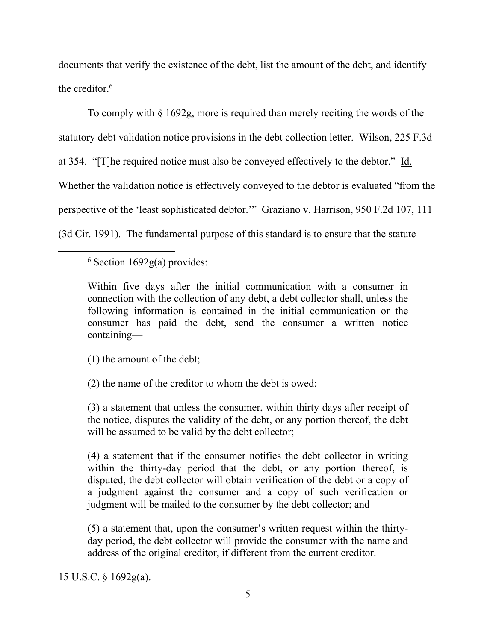documents that verify the existence of the debt, list the amount of the debt, and identify the creditor.<sup>6</sup>

To comply with § 1692g, more is required than merely reciting the words of the statutory debt validation notice provisions in the debt collection letter. Wilson, 225 F.3d at 354. "[T]he required notice must also be conveyed effectively to the debtor." Id. Whether the validation notice is effectively conveyed to the debtor is evaluated "from the perspective of the 'least sophisticated debtor.'" Graziano v. Harrison, 950 F.2d 107, 111 (3d Cir. 1991). The fundamental purpose of this standard is to ensure that the statute

 $6$  Section 1692g(a) provides:

 $\overline{a}$ 

Within five days after the initial communication with a consumer in connection with the collection of any debt, a debt collector shall, unless the following information is contained in the initial communication or the consumer has paid the debt, send the consumer a written notice containing—

(1) the amount of the debt;

(2) the name of the creditor to whom the debt is owed;

(3) a statement that unless the consumer, within thirty days after receipt of the notice, disputes the validity of the debt, or any portion thereof, the debt will be assumed to be valid by the debt collector;

(4) a statement that if the consumer notifies the debt collector in writing within the thirty-day period that the debt, or any portion thereof, is disputed, the debt collector will obtain verification of the debt or a copy of a judgment against the consumer and a copy of such verification or judgment will be mailed to the consumer by the debt collector; and

(5) a statement that, upon the consumer's written request within the thirtyday period, the debt collector will provide the consumer with the name and address of the original creditor, if different from the current creditor.

15 U.S.C. § 1692g(a).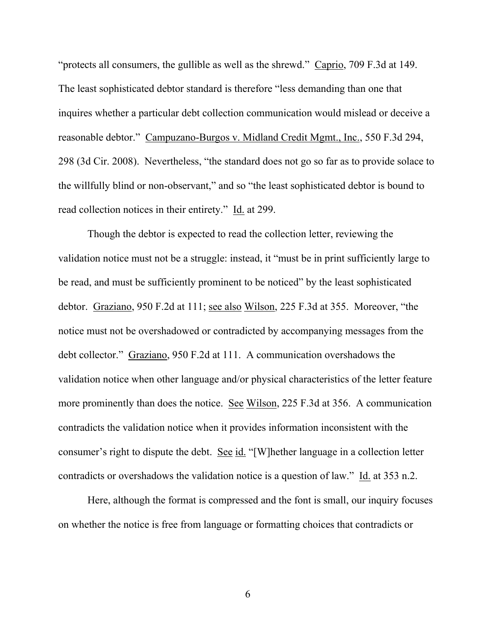"protects all consumers, the gullible as well as the shrewd." Caprio, 709 F.3d at 149. The least sophisticated debtor standard is therefore "less demanding than one that inquires whether a particular debt collection communication would mislead or deceive a reasonable debtor." Campuzano-Burgos v. Midland Credit Mgmt., Inc., 550 F.3d 294, 298 (3d Cir. 2008). Nevertheless, "the standard does not go so far as to provide solace to the willfully blind or non-observant," and so "the least sophisticated debtor is bound to read collection notices in their entirety." Id. at 299.

Though the debtor is expected to read the collection letter, reviewing the validation notice must not be a struggle: instead, it "must be in print sufficiently large to be read, and must be sufficiently prominent to be noticed" by the least sophisticated debtor. Graziano, 950 F.2d at 111; see also Wilson, 225 F.3d at 355. Moreover, "the notice must not be overshadowed or contradicted by accompanying messages from the debt collector." Graziano, 950 F.2d at 111. A communication overshadows the validation notice when other language and/or physical characteristics of the letter feature more prominently than does the notice. See Wilson, 225 F.3d at 356. A communication contradicts the validation notice when it provides information inconsistent with the consumer's right to dispute the debt. See id. "[W]hether language in a collection letter contradicts or overshadows the validation notice is a question of law." Id. at 353 n.2.

Here, although the format is compressed and the font is small, our inquiry focuses on whether the notice is free from language or formatting choices that contradicts or

6